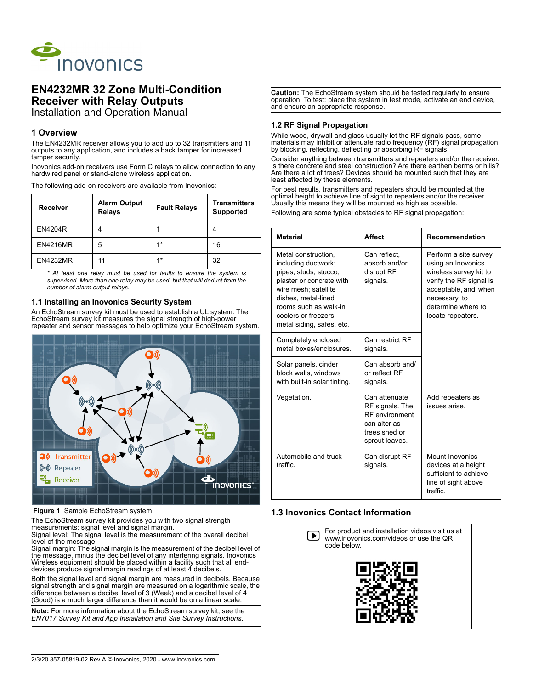

# **EN4232MR 32 Zone Multi-Condition Receiver with Relay Outputs** Installation and Operation Manual

# **1 Overview**

The EN4232MR receiver allows you to add up to 32 transmitters and 11 outputs to any application, and includes a back tamper for increased tamper security.

Inovonics add-on receivers use Form C relays to allow connection to any hardwired panel or stand-alone wireless application.

The following add-on receivers are available from Inovonics:

| <b>Receiver</b> | <b>Alarm Output</b><br><b>Relays</b> | <b>Fault Relays</b> | <b>Transmitters</b><br><b>Supported</b> |
|-----------------|--------------------------------------|---------------------|-----------------------------------------|
| <b>EN4204R</b>  |                                      |                     | 4                                       |
| <b>EN4216MR</b> | 5                                    | $1*$                | 16                                      |
| <b>EN4232MR</b> | 11                                   | $4*$                | 32                                      |

*\* At least one relay must be used for faults to ensure the system is supervised. More than one relay may be used, but that will deduct from the number of alarm output relays.*

## **1.1 Installing an Inovonics Security System**

An EchoStream survey kit must be used to establish a UL system. The EchoStream survey kit measures the signal strength of high-power repeater and sensor messages to help optimize your EchoStream system.



### **Figure 1** Sample EchoStream system

The EchoStream survey kit provides you with two signal strength measurements: signal level and signal margin.

Signal level: The signal level is the measurement of the overall decibel level of the message.

Signal margin: The signal margin is the measurement of the decibel level of the message, minus the decibel level of any interfering signals. Inovonics Wireless equipment should be placed within a facility such that all enddevices produce signal margin readings of at least 4 decibels.

Both the signal level and signal margin are measured in decibels. Because signal strength and signal margin are measured on a logarithmic scale, the difference between a decibel level of 3 (Weak) and a decibel level of 4 (Good) is a much larger difference than it would be on a linear scale.

**Note:** For more information about the EchoStream survey kit, see the *EN7017 Survey Kit and App Installation and Site Survey Instructions*.

**Caution:** The EchoStream system should be tested regularly to ensure operation. To test: place the system in test mode, activate an end device, and ensure an appropriate response.

## **1.2 RF Signal Propagation**

While wood, drywall and glass usually let the RF signals pass, some materials may inhibit or attenuate radio frequency (RF) signal propagation by blocking, reflecting, deflecting or absorbing RF signals.

Consider anything between transmitters and repeaters and/or the receiver. Is there concrete and steel construction? Are there earthen berms or hills? Are there a lot of trees? Devices should be mounted such that they are least affected by these elements.

For best results, transmitters and repeaters should be mounted at the optimal height to achieve line of sight to repeaters and/or the receiver. Usually this means they will be mounted as high as possible.

Following are some typical obstacles to RF signal propagation:

| <b>Material</b>                                                                                                                                                                                                              | <b>Affect</b>                                                                                                | Recommendation                                                                                                                                                                        |  |
|------------------------------------------------------------------------------------------------------------------------------------------------------------------------------------------------------------------------------|--------------------------------------------------------------------------------------------------------------|---------------------------------------------------------------------------------------------------------------------------------------------------------------------------------------|--|
| Metal construction,<br>including ductwork;<br>pipes; studs; stucco,<br>plaster or concrete with<br>wire mesh: satellite<br>dishes, metal-lined<br>rooms such as walk-in<br>coolers or freezers:<br>metal siding, safes, etc. | Can reflect,<br>absorb and/or<br>disrupt RF<br>signals.                                                      | Perform a site survey<br>using an Inovonics<br>wireless survey kit to<br>verify the RF signal is<br>acceptable, and, when<br>necessary, to<br>determine where to<br>locate repeaters. |  |
| Completely enclosed<br>metal boxes/enclosures                                                                                                                                                                                | Can restrict RF<br>signals.                                                                                  |                                                                                                                                                                                       |  |
| Solar panels, cinder<br>block walls, windows<br>with built-in solar tinting.                                                                                                                                                 | Can absorb and/<br>or reflect RF<br>signals.                                                                 |                                                                                                                                                                                       |  |
| Vegetation.                                                                                                                                                                                                                  | Can attenuate<br>RF signals. The<br><b>RF</b> environment<br>can alter as<br>trees shed or<br>sprout leaves. | Add repeaters as<br>issues arise.                                                                                                                                                     |  |
| Automobile and truck<br>traffic                                                                                                                                                                                              | Can disrupt RF<br>signals.                                                                                   | <b>Mount Inovonics</b><br>devices at a height<br>sufficient to achieve<br>line of sight above<br>traffic.                                                                             |  |

# **1.3 Inovonics Contact Information**

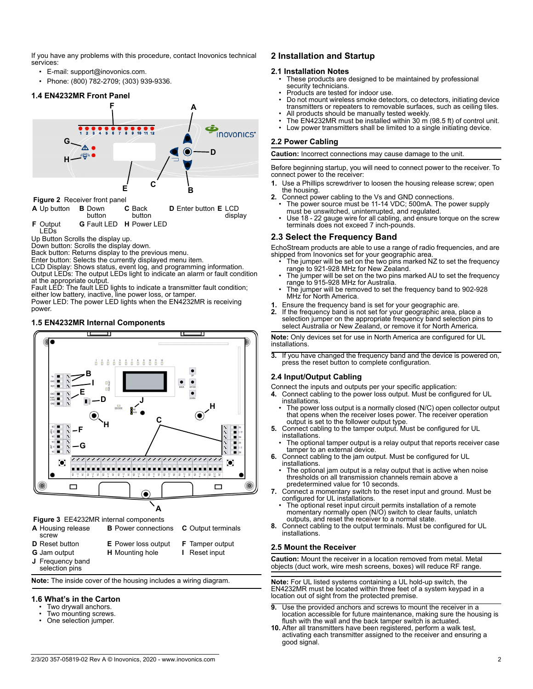If you have any problems with this procedure, contact Inovonics technical services:

- E-mail: support@inovonics.com.
- Phone: (800) 782-2709; (303) 939-9336.

## **1.4 EN4232MR Front Panel**



| <b>I</b> iguite <i>L</i> interest from pairer |               |                                       |                                               |
|-----------------------------------------------|---------------|---------------------------------------|-----------------------------------------------|
| <b>A</b> Up button <b>B</b> Down              | <b>button</b> | <b>C</b> Back<br>button               | <b>D</b> Enter button <b>E</b> LCD<br>display |
| <b>F</b> Output<br><b>LEDs</b>                |               | <b>G</b> Fault LED <b>H</b> Power LED |                                               |

Up Button Scrolls the display up.

Down button: Scrolls the display down.

Back button: Returns display to the previous menu.

Enter button: Selects the currently displayed menu item.

LCD Display: Shows status, event log, and programming information. Output LEDs: The output LEDs light to indicate an alarm or fault condition at the appropriate output.

Fault LED: The fault LED lights to indicate a transmitter fault condition; either low battery, inactive, line power loss, or tamper.

Power LED: The power LED lights when the EN4232MR is receiving power.

### **1.5 EN4232MR Internal Components**



 **Figure 3** EE4232MR internal components

- **A** Housing release
- screw
- **D** Reset button **E** Power loss output **F** Tamper output
- 
- **G** Jam output **H** Mounting hole **I** Reset input
- **J** Frequency band selection pins
- 

**B** Power connections **C** Output terminals

**Note:** The inside cover of the housing includes a wiring diagram.

### **1.6 What's in the Carton**

- Two drywall anchors.
- Two mounting screws.<br>• One selection jumper
- One selection jumper.

# **2 Installation and Startup**

## **2.1 Installation Notes**

- These products are designed to be maintained by professional security technicians.
- Products are tested for indoor use.
- Do not mount wireless smoke detectors, co detectors, initiating device transmitters or repeaters to removable surfaces, such as ceiling tiles. All products should be manually tested weekly.
- The EN4232MR must be installed within 30 m (98.5 ft) of control unit.
- Low power transmitters shall be limited to a single initiating device.

### **2.2 Power Cabling**

**Caution:** Incorrect connections may cause damage to the unit.

Before beginning startup, you will need to connect power to the receiver. To connect power to the receiver:

- **1.** Use a Phillips screwdriver to loosen the housing release screw; open the housing.
- **2.** Connect power cabling to the Vs and GND connections.
	- The power source must be 11-14 VDC; 500mA. The power supply must be unswitched, uninterrupted, and regulated.
	- Use 18 22 gauge wire for all cabling, and ensure torque on the screw terminals does not exceed 7 inch-pounds.

## **2.3 Select the Frequency Band**

EchoStream products are able to use a range of radio frequencies, and are shipped from Inovonics set for your geographic area.

- The jumper will be set on the two pins marked NZ to set the frequency range to 921-928 MHz for New Zealand.
- The jumper will be set on the two pins marked AU to set the frequency range to 915-928 MHz for Australia.
- The jumper will be removed to set the frequency band to 902-928 MHz for North America.
- **1.** Ensure the frequency band is set for your geographic are.<br>**2.** If the frequency band is not set for your geographic area,
- **2.** If the frequency band is not set for your geographic area, place a selection jumper on the appropriate frequency band selection pins to select Australia or New Zealand, or remove it for North America.

**Note:** Only devices set for use in North America are configured for UL installations.

**3.** If you have changed the frequency band and the device is powered on, press the reset button to complete configuration.

## **2.4 Input/Output Cabling**

Connect the inputs and outputs per your specific application:

- **4.** Connect cabling to the power loss output. Must be configured for UL installations.
	- The power loss output is a normally closed (N/C) open collector output that opens when the receiver loses power. The receiver operation output is set to the follower output type.
- **5.** Connect cabling to the tamper output. Must be configured for UL installations.
- The optional tamper output is a relay output that reports receiver case tamper to an external device.
- **6.** Connect cabling to the jam output. Must be configured for UL installations.
	- The optional jam output is a relay output that is active when noise thresholds on all transmission channels remain above a predetermined value for 10 seconds.
- **7.** Connect a momentary switch to the reset input and ground. Must be configured for UL installations.
	- The optional reset input circuit permits installation of a remote momentary normally open (N/O) switch to clear faults, unlatch outputs, and reset the receiver to a normal state.
- **8.** Connect cabling to the output terminals. Must be configured for UL installations.

### **2.5 Mount the Receiver**

**Caution:** Mount the receiver in a location removed from metal. Metal objects (duct work, wire mesh screens, boxes) will reduce RF range.

**Note:** For UL listed systems containing a UL hold-up switch, the EN4232MR must be located within three feet of a system keypad in a location out of sight from the protected premise.

- **9.** Use the provided anchors and screws to mount the receiver in a location accessible for future maintenance, making sure the housing is flush with the wall and the back tamper switch is actuated.
- **10.** After all transmitters have been registered, perform a walk test, activating each transmitter assigned to the receiver and ensuring a good signal.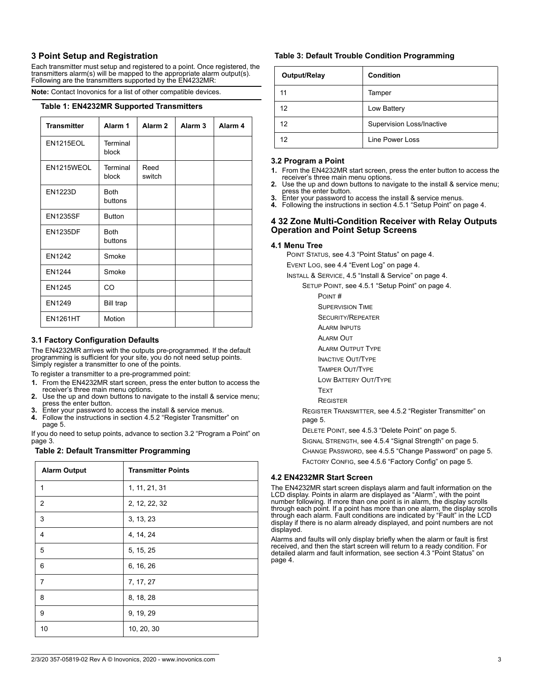# **3 Point Setup and Registration**

Each transmitter must setup and registered to a point. Once registered, the transmitters alarm(s) will be mapped to the appropriate alarm output(s). Following are the transmitters supported by the EN4232MR:

**Note:** Contact Inovonics for a list of other compatible devices.

#### **Table 1: EN4232MR Supported Transmitters**

| <b>Transmitter</b> | Alarm 1                | Alarm <sub>2</sub> | Alarm <sub>3</sub> | Alarm <sub>4</sub> |
|--------------------|------------------------|--------------------|--------------------|--------------------|
| <b>EN1215EOL</b>   | Terminal<br>block      |                    |                    |                    |
| EN1215WEOL         | Terminal<br>block      | Reed<br>switch     |                    |                    |
| <b>EN1223D</b>     | <b>Both</b><br>buttons |                    |                    |                    |
| <b>EN1235SF</b>    | <b>Button</b>          |                    |                    |                    |
| <b>EN1235DF</b>    | <b>Both</b><br>buttons |                    |                    |                    |
| <b>EN1242</b>      | Smoke                  |                    |                    |                    |
| <b>EN1244</b>      | Smoke                  |                    |                    |                    |
| <b>EN1245</b>      | CO                     |                    |                    |                    |
| EN1249             | <b>Bill trap</b>       |                    |                    |                    |
| <b>EN1261HT</b>    | Motion                 |                    |                    |                    |

## **3.1 Factory Configuration Defaults**

The EN4232MR arrives with the outputs pre-programmed. If the default programming is sufficient for your site, you do not need setup points. Simply register a transmitter to one of the points.

To register a transmitter to a pre-programmed point:

- **1.** From the EN4232MR start screen, press the enter button to access the receiver's three main menu options.
- **2.** Use the up and down buttons to navigate to the install & service menu; press the enter button.
- **3.** Enter your password to access the install & service menus.
- **4.** Follow the instructions in section 4.5.2 "Register Transmitter" on page 5.

If you do need to setup points, advance to section 3.2 "Program a Point" on page 3.

## **Table 2: Default Transmitter Programming**

| <b>Alarm Output</b> | <b>Transmitter Points</b> |
|---------------------|---------------------------|
| $\mathbf{1}$        | 1, 11, 21, 31             |
| 2                   | 2, 12, 22, 32             |
| 3                   | 3, 13, 23                 |
| 4                   | 4, 14, 24                 |
| 5                   | 5, 15, 25                 |
| 6                   | 6, 16, 26                 |
| $\overline{7}$      | 7, 17, 27                 |
| 8                   | 8, 18, 28                 |
| 9                   | 9, 19, 29                 |
| 10                  | 10, 20, 30                |

## **Table 3: Default Trouble Condition Programming**

| Output/Relay | Condition                        |
|--------------|----------------------------------|
| 11           | Tamper                           |
| 12           | Low Battery                      |
| 12           | <b>Supervision Loss/Inactive</b> |
| 12           | Line Power Loss                  |

#### **3.2 Program a Point**

- **1.** From the EN4232MR start screen, press the enter button to access the receiver's three main menu options.
- **2.** Use the up and down buttons to navigate to the install & service menu; press the enter button. **3.** Enter your password to access the install & service menus.
- 
- **4.** Following the instructions in section 4.5.1 "Setup Point" on page 4.

## **4 32 Zone Multi-Condition Receiver with Relay Outputs Operation and Point Setup Screens**

### **4.1 Menu Tree**

POINT STATUS, see 4.3 "Point Status" on page 4.

EVENT LOG, see 4.4 "Event Log" on page 4.

- INSTALL & SERVICE, 4.5 "Install & Service" on page 4.
	- SETUP POINT, see 4.5.1 "Setup Point" on page 4.
		- POINT #
		- SUPERVISION TIME
		- SECURITY/REPEATER
		- ALARM INPUTS
		- ALARM OUT
		- ALARM OUTPUT TYPE
		- INACTIVE OUT/TYPE
		- TAMPER OUT/TYPE
		- LOW BATTERY OUT/TYPE
		- **TEXT**
		- **REGISTER**

REGISTER TRANSMITTER, see 4.5.2 "Register Transmitter" on page 5.

DELETE POINT, see 4.5.3 "Delete Point" on page 5.

- SIGNAL STRENGTH, see 4.5.4 "Signal Strength" on page 5.
- CHANGE PASSWORD, see 4.5.5 "Change Password" on page 5.

FACTORY CONFIG, see 4.5.6 "Factory Config" on page 5.

### **4.2 EN4232MR Start Screen**

The EN4232MR start screen displays alarm and fault information on the LCD display. Points in alarm are displayed as "Alarm", with the point number following. If more than one point is in alarm, the display scrolls through each point. If a point has more than one alarm, the display scrolls through each alarm. Fault conditions are indicated by "Fault" in the LCD display if there is no alarm already displayed, and point numbers are not displayed.

Alarms and faults will only display briefly when the alarm or fault is first received, and then the start screen will return to a ready condition. For detailed alarm and fault information, see section 4.3 "Point Status" on page 4.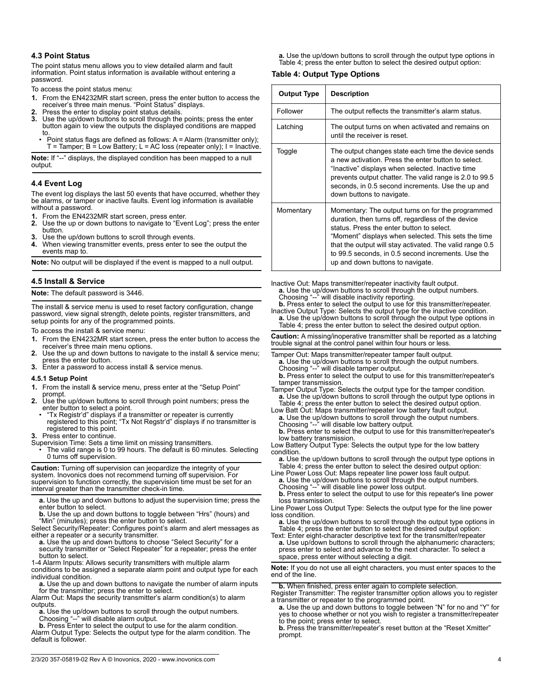### **4.3 Point Status**

The point status menu allows you to view detailed alarm and fault information. Point status information is available without entering a password.

To access the point status menu:

- **1.** From the EN4232MR start screen, press the enter button to access the receiver's three main menus. "Point Status" displays.
- **2.** Press the enter to display point status details.
- Use the up/down buttons to scroll through the points; press the enter button again to view the outputs the displayed conditions are mapped to.
	- Point status flags are defined as follows: A = Alarm (transmitter only);  $T$  = Tamper; B = Low Battery; L = AC loss (repeater only); I = Inactive.

**Note:** If "--" displays, the displayed condition has been mapped to a null output.

### **4.4 Event Log**

The event log displays the last 50 events that have occurred, whether they be alarms, or tamper or inactive faults. Event log information is available without a password.

- **1.** From the EN4232MR start screen, press enter.
- **2.** Use the up or down buttons to navigate to "Event Log"; press the enter button.
- **3.** Use the up/down buttons to scroll through events.
- **4.** When viewing transmitter events, press enter to see the output the events map to.

**Note:** No output will be displayed if the event is mapped to a null output.

### **4.5 Install & Service**

#### **Note:** The default password is 3446.

The install & service menu is used to reset factory configuration, change password, view signal strength, delete points, register transmitters, and setup points for any of the programmed points.

To access the install & service menu:

- **1.** From the EN4232MR start screen, press the enter button to access the receiver's three main menu options.
- Use the up and down buttons to navigate to the install & service menu; press the enter button.
- **3.** Enter a password to access install & service menus.

#### **4.5.1 Setup Point**

- **1.** From the install & service menu, press enter at the "Setup Point"
- prompt.
- **2.** Use the up/down buttons to scroll through point numbers; press the enter button to select a point.
- "Tx Registr'd" displays if a transmitter or repeater is currently registered to this point; "Tx Not Regstr'd" displays if no transmitter is registered to this point.
- **3.** Press enter to continue.
- Supervision Time: Sets a time limit on missing transmitters. • The valid range is 0 to 99 hours. The default is 60 minutes. Selecting 0 turns off supervision.

**Caution:** Turning off supervision can jeopardize the integrity of your system. Inovonics does not recommend turning off supervision. For supervision to function correctly, the supervision time must be set for an interval greater than the transmitter check-in time.

**a.** Use the up and down buttons to adjust the supervision time; press the enter button to select.

**b.** Use the up and down buttons to toggle between "Hrs" (hours) and "Min" (minutes); press the enter button to select.

Select Security/Repeater: Configures point's alarm and alert messages as either a repeater or a security transmitter.

a. Use the up and down buttons to choose "Select Security" for a security transmitter or "Select Repeater" for a repeater; press the enter

button to select. 1-4 Alarm Inputs: Allows security transmitters with multiple alarm conditions to be assigned a separate alarm point and output type for each individual condition.

**a.** Use the up and down buttons to navigate the number of alarm inputs for the transmitter; press the enter to select.

Alarm Out: Maps the security transmitter's alarm condition(s) to alarm

outputs. **a.** Use the up/down buttons to scroll through the output numbers. Choosing "--" will disable alarm output.

**b.** Press Enter to select the output to use for the alarm condition. Alarm Output Type: Selects the output type for the alarm condition. The default is follower.

**a.** Use the up/down buttons to scroll through the output type options in Table 4; press the enter button to select the desired output option:

### **Table 4: Output Type Options**

| <b>Output Type</b> | <b>Description</b>                                                                                                                                                                                                                                                                                                                                                |  |
|--------------------|-------------------------------------------------------------------------------------------------------------------------------------------------------------------------------------------------------------------------------------------------------------------------------------------------------------------------------------------------------------------|--|
| Follower           | The output reflects the transmitter's alarm status.                                                                                                                                                                                                                                                                                                               |  |
| Latching           | The output turns on when activated and remains on<br>until the receiver is reset.                                                                                                                                                                                                                                                                                 |  |
| Toggle             | The output changes state each time the device sends<br>a new activation. Press the enter button to select.<br>"Inactive" displays when selected. Inactive time<br>prevents output chatter. The valid range is 2.0 to 99.5<br>seconds, in 0.5 second increments. Use the up and<br>down buttons to navigate.                                                       |  |
| Momentary          | Momentary: The output turns on for the programmed<br>duration, then turns off, regardless of the device<br>status. Press the enter button to select.<br>"Moment" displays when selected. This sets the time<br>that the output will stay activated. The valid range 0.5<br>to 99.5 seconds, in 0.5 second increments. Use the<br>up and down buttons to navigate. |  |

Inactive Out: Maps transmitter/repeater inactivity fault output.

**a.** Use the up/down buttons to scroll through the output numbers.<br>Choosing "--" will disable inactivity reporting.

**b.** Press enter to select the output to use for this transmitter/repeater.

Inactive Output Type: Selects the output type for the inactive condition. **a.** Use the up/down buttons to scroll through the output type options in Table 4; press the enter button to select the desired output option.

**Caution:** A missing/inoperative transmitter shall be reported as a latching trouble signal at the control panel within four hours or less.

Tamper Out: Maps transmitter/repeater tamper fault output.

- **a.** Use the up/down buttons to scroll through the output numbers. Choosing "--" will disable tamper output.
- **b.** Press enter to select the output to use for this transmitter/repeater's tamper transmission.
- Tamper Output Type: Selects the output type for the tamper condition. **a.** Use the up/down buttons to scroll through the output type options in Table 4; press the enter button to select the desired output option.
- Low Batt Out: Maps transmitter/repeater low battery fault output. **a.** Use the up/down buttons to scroll through the output numbers. Choosing "--" will disable low battery output.

**b.** Press enter to select the output to use for this transmitter/repeater's low battery transmission.

Low Battery Output Type: Selects the output type for the low battery condition.

**a.** Use the up/down buttons to scroll through the output type options in Table 4; press the enter button to select the desired output option:

Line Power Loss Out: Maps repeater line power loss fault output. **a.** Use the up/down buttons to scroll through the output numbers. Choosing "--" will disable line power loss output.

**b.** Press enter to select the output to use for this repeater's line power loss transmission.

Line Power Loss Output Type: Selects the output type for the line power loss condition.

**a.** Use the up/down buttons to scroll through the output type options in Table 4; press the enter button to select the desired output option:

Text: Enter eight-character descriptive text for the transmitter/repeater **a.** Use up/down buttons to scroll through the alphanumeric characters;<br>press enter to select and advance to the next character. To select a space, press enter without selecting a digit.

**Note:** If you do not use all eight characters, you must enter spaces to the end of the line.

**b.** When finished, press enter again to complete selection.

Register Transmitter: The register transmitter option allows you to register

a transmitter or repeater to the programmed point. **a.** Use the up and down buttons to toggle between "N" for no and "Y" for yes to choose whether or not you wish to register a transmitter/repeater to the point; press enter to select.

**b.** Press the transmitter/repeater's reset button at the "Reset Xmitter" prompt.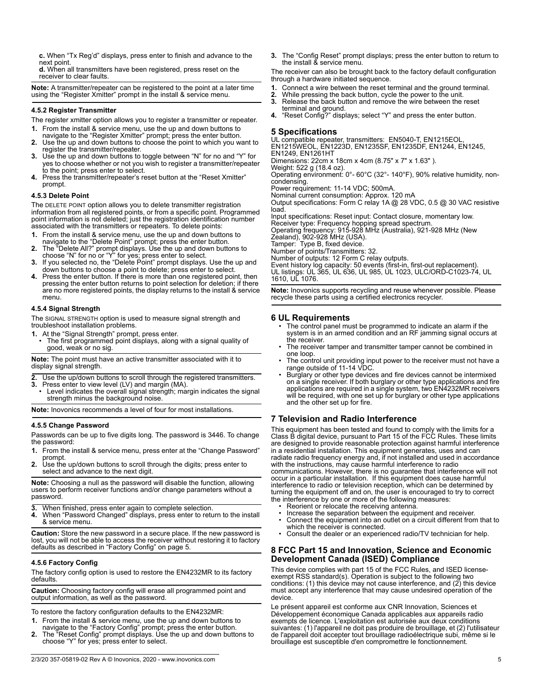**c.** When "Tx Reg'd" displays, press enter to finish and advance to the next point.

**d.** When all transmitters have been registered, press reset on the receiver to clear faults.

**Note:** A transmitter/repeater can be registered to the point at a later time using the "Register Xmitter" prompt in the install & service menu.

#### **4.5.2 Register Transmitter**

The register xmitter option allows you to register a transmitter or repeater.

- 
- **1.** From the install & service menu, use the up and down buttons to navigate to the "Register Xmitter" prompt; press the enter button.
- **2.** Use the up and down buttons to choose the point to which you want to register the transmitter/repeater.
- **3.** Use the up and down buttons to toggle between "N" for no and "Y" for yes to choose whether or not you wish to register a transmitter/repeater to the point; press enter to select.
- **4.** Press the transmitter/repeater's reset button at the "Reset Xmitter" prompt.

#### **4.5.3 Delete Point**

The DELETE POINT option allows you to delete transmitter registration information from all registered points, or from a specific point. Programmed point information is not deleted; just the registration identification number associated with the transmitters or repeaters. To delete points:

- **1.** From the install & service menu, use the up and down buttons to navigate to the "Delete Point" prompt; press the enter button.
- **2.** The "Delete All?" prompt displays. Use the up and down buttons to choose "N" for no or "Y" for yes; press enter to select.
- **3.** If you selected no, the "Delete Point" prompt displays. Use the up and
- down buttons to choose a point to delete; press enter to select. **4.** Press the enter button. If there is more than one registered point, then pressing the enter button returns to point selection for deletion; if there are no more registered points, the display returns to the install & service menu.

#### **4.5.4 Signal Strength**

The SIGNAL STRENGTH option is used to measure signal strength and troubleshoot installation problems.

- 
- **1.** At the "Signal Strength" prompt, press enter. The first programmed point displays, along with a signal quality of good, weak or no sig.

**Note:** The point must have an active transmitter associated with it to display signal strength.

- **2.** Use the up/down buttons to scroll through the registered transmitters.
- **3.** Press enter to view level (LV) and margin (MA).
- Level indicates the overall signal strength; margin indicates the signal strength minus the background noise.

**Note:** Inovonics recommends a level of four for most installations.

## **4.5.5 Change Password**

Passwords can be up to five digits long. The password is 3446. To change the password:

- **1.** From the install & service menu, press enter at the "Change Password" prompt.
- **2.** Use the up/down buttons to scroll through the digits; press enter to select and advance to the next digit.

**Note:** Choosing a null as the password will disable the function, allowing users to perform receiver functions and/or change parameters without a password.

- **3.** When finished, press enter again to complete selection.<br>**4.** When "Password Changed" displays press enter to retu
- **4.** When "Password Changed" displays, press enter to return to the install & service menu.

**Caution:** Store the new password in a secure place. If the new password is lost, you will not be able to access the receiver without restoring it to factory defaults as described in "Factory Config" on page 5.

### **4.5.6 Factory Config**

The factory config option is used to restore the EN4232MR to its factory defaults.

**Caution:** Choosing factory config will erase all programmed point and output information, as well as the password.

To restore the factory configuration defaults to the EN4232MR:

- **1.** From the install & service menu, use the up and down buttons to navigate to the "Factory Config" prompt; press the enter button. **2.** The "Reset Config" prompt displays. Use the up and down buttons to
- choose "Y" for yes; press enter to select.

**3.** The "Config Reset" prompt displays; press the enter button to return to the install & service menu.

The receiver can also be brought back to the factory default configuration through a hardware initiated sequence.

- **1.** Connect a wire between the reset terminal and the ground terminal.
- 
- **2.** While pressing the back button, cycle the power to the unit. **3.** Release the back button and remove the wire between the reset terminal and ground.
- **4.** "Reset Config?" displays; select "Y" and press the enter button.

## **5 Specifications**

UL compatible repeater, transmitters: EN5040-T, EN1215EOL, EN1215WEOL, EN1223D, EN1235SF, EN1235DF, EN1244, EN1245, EN1249, EN1261HT

Dimensions: 22cm x 18cm x 4cm (8.75" x 7" x 1.63" ).

Weight: 522 g (18.4 oz). Operating environment: 0°- 60°C (32°- 140°F), 90% relative humidity, noncondensing.

Power requirement: 11-14 VDC; 500mA. Nominal current consumption: Approx. 120 mA

Output specifications: Form C relay 1A @ 28 VDC, 0.5 @ 30 VAC resistive load.

Input specifications: Reset input: Contact closure, momentary low. Receiver type: Frequency hopping spread spectrum.

Operating frequency: 915-928 MHz (Australia), 921-928 MHz (New Zealand), 902-928 MHz (USA).

Tamper: Type B, fixed device.

Number of points/Transmitters: 32.

Number of outputs: 12 Form C relay outputs.

Event history log capacity: 50 events (first-in, first-out replacement). UL listings: UL 365, UL 636, UL 985, UL 1023, ULC/ORD-C1023-74, UL 1610, UL 1076.

**Note:** Inovonics supports recycling and reuse whenever possible. Please recycle these parts using a certified electronics recycler.

## **6 UL Requirements**

- The control panel must be programmed to indicate an alarm if the system is in an armed condition and an RF jamming signal occurs at the receiver.
- The receiver tamper and transmitter tamper cannot be combined in one loop.
- The control unit providing input power to the receiver must not have a range outside of 11-14 VDC. • Burglary or other type devices and fire devices cannot be intermixed
- on a single receiver. If both burglary or other type applications and fire applications are required in a single system, two EN4232MR receivers will be required, with one set up for burglary or other type applications and the other set up for fire.

# **7 Television and Radio Interference**

This equipment has been tested and found to comply with the limits for a Class B digital device, pursuant to Part 15 of the FCC Rules. These limits are designed to provide reasonable protection against harmful interference in a residential installation. This equipment generates, uses and can radiate radio frequency energy and, if not installed and used in accordance with the instructions, may cause harmful interference to radio communications. However, there is no guarantee that interference will not occur in a particular installation. If this equipment does cause harmful interference to radio or television reception, which can be determined by turning the equipment off and on, the user is encouraged to try to correct the interference by one or more of the following measures:

- Reorient or relocate the receiving antenna.
- Increase the separation between the equipment and receiver.
- Connect the equipment into an outlet on a circuit different from that to which the receiver is connected.
- Consult the dealer or an experienced radio/TV technician for help.

## **8 FCC Part 15 and Innovation, Science and Economic Development Canada (ISED) Compliance**

This device complies with part 15 of the FCC Rules, and ISED licenseexempt RSS standard(s). Operation is subject to the following two conditions: (1) this device may not cause interference, and (2) this device must accept any interference that may cause undesired operation of the device.

Le présent appareil est conforme aux CNR Innovation, Sciences et Développement économique Canada applicables aux appareils radio exempts de licence. L'exploitation est autorisée aux deux conditions suivantes: (1) l'appareil ne doit pas produire de brouillage, et (2) l'utilisateur de l'appareil doit accepter tout brouillage radioélectrique subi, même si le brouillage est susceptible d'en compromettre le fonctionnement.